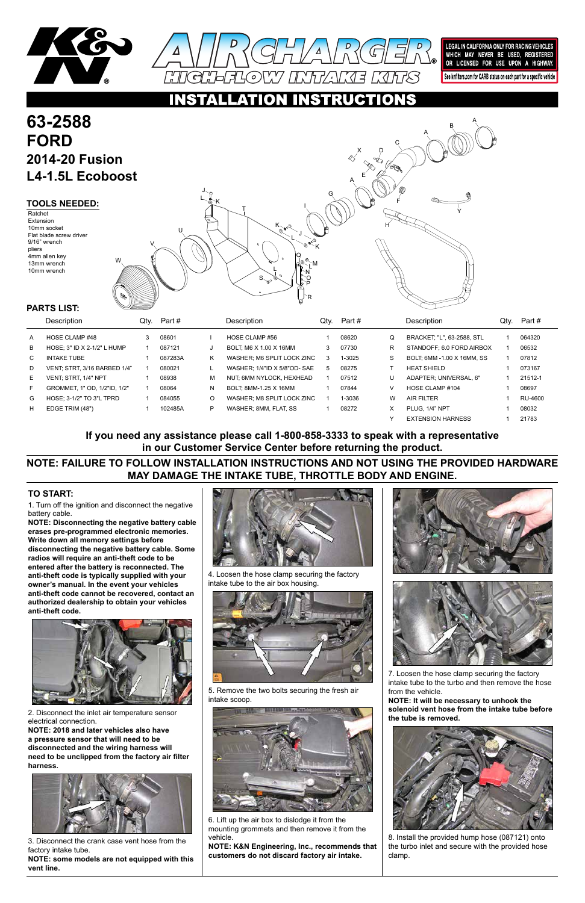



LEGAL IN CALIFORNIA ONLY FOR RACING VEHICLES WHICH MAY NEVER BE USED, REGISTERED OR LICENSED FOR USE UPON A HIGHWAY. See knfilters.com for CARB status on each part for a specific vehicle

1. Turn off the ignition and disconnect the negative battery cable.

# **63-2588 FORD 2014-20 Fusion L4-1.5L Ecoboost**

**NOTE: Disconnecting the negative battery cable erases pre-programmed electronic memories. Write down all memory settings before disconnecting the negative battery cable. Some radios will require an anti-theft code to be entered after the battery is reconnected. The anti-theft code is typically supplied with your owner's manual. In the event your vehicles anti-theft code cannot be recovered, contact an authorized dealership to obtain your vehicles anti-theft code.**



#### **TO START:**

|    | Description                  | Qtv. | Part #  |   | Description                  | Qtv. | Part # |   | Description                | Qtv. | Part #  |
|----|------------------------------|------|---------|---|------------------------------|------|--------|---|----------------------------|------|---------|
| A  | HOSE CLAMP #48               |      | 08601   |   | HOSE CLAMP #56               |      | 08620  | Q | BRACKET, "L", 63-2588, STL |      | 064320  |
| B  | HOSE: 3" ID X 2-1/2" L HUMP  |      | 087121  | J | BOLT: M6 X 1.00 X 16MM       | 3    | 07730  | R | STANDOFF, 6.0 FORD AIRBOX  |      | 06532   |
| C. | <b>INTAKE TUBE</b>           |      | 087283A | K | WASHER: M6 SPLIT LOCK ZINC   | 3    | 1-3025 | S | BOLT, 6MM -1.00 X 16MM, SS |      | 07812   |
| D  | VENT: STRT. 3/16 BARBED 1/4" |      | 080021  |   | WASHER: 1/4"ID X 5/8"OD- SAE | 5    | 08275  |   | <b>HEAT SHIELD</b>         |      | 073167  |
| E. | VENT. STRT. 1/4" NPT         |      | 08938   | М | NUT: 6MM NYLOCK, HEXHEAD     |      | 07512  | U | ADAPTER: UNIVERSAL. 6"     |      | 21512-1 |
| F. | GROMMET, 1" OD, 1/2"ID, 1/2" |      | 08064   | N | BOLT: 8MM-1.25 X 16MM        |      | 07844  | v | HOSE CLAMP #104            |      | 08697   |
| G  | HOSE; 3-1/2" TO 3"L TPRD     |      | 084055  | O | WASHER: M8 SPLIT LOCK ZINC   |      | 1-3036 | w | <b>AIR FILTER</b>          |      | RU-4600 |
| н  | EDGE TRIM (48")              |      | 102485A | P | WASHER; 8MM, FLAT, SS        |      | 08272  | X | PLUG. 1/4" NPT             |      | 08032   |
|    |                              |      |         |   |                              |      |        |   | <b>EXTENSION HARNESS</b>   |      | 21783   |

#### **PARTS LIST:**

#### **TOOLS NEEDED:**

Ratchet Extension 10mm socket Flat blade screw driver 9/16" wrench pliers 4mm allen key 13mm wrench 10mm wrench

2. Disconnect the inlet air temperature sensor electrical connection.

**NOTE: 2018 and later vehicles also have a pressure sensor that will need to be disconnected and the wiring harness will need to be unclipped from the factory air filter harness.**



3. Disconnect the crank case vent hose from the factory intake tube.

**NOTE: some models are not equipped with this vent line.**



4. Loosen the hose clamp securing the factory intake tube to the air box housing.







5. Remove the two bolts securing the fresh air intake scoop.



6. Lift up the air box to dislodge it from the mounting grommets and then remove it from the vehicle.

**NOTE: K&N Engineering, Inc., recommends that customers do not discard factory air intake.**

7. Loosen the hose clamp securing the factory intake tube to the turbo and then remove the hose from the vehicle.

**NOTE: It will be necessary to unhook the solenoid vent hose from the intake tube before the tube is removed.**



8. Install the provided hump hose (087121) onto the turbo inlet and secure with the provided hose clamp.

A

#### **INSTRUCTIONS** ATION

W



# **NOTE: FAILURE TO FOLLOW INSTALLATION INSTRUCTIONS AND NOT USING THE PROVIDED HARDWARE MAY DAMAGE THE INTAKE TUBE, THROTTLE BODY AND ENGINE.**

# **If you need any assistance please call 1-800-858-3333 to speak with a representative in our Customer Service Center before returning the product.**